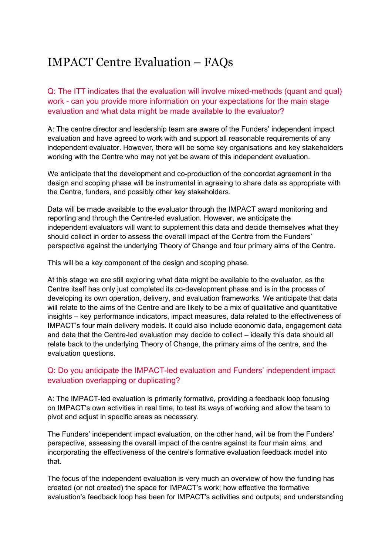# IMPACT Centre Evaluation – FAQs

Q: The ITT indicates that the evaluation will involve mixed-methods (quant and qual) work - can you provide more information on your expectations for the main stage evaluation and what data might be made available to the evaluator?

A: The centre director and leadership team are aware of the Funders' independent impact evaluation and have agreed to work with and support all reasonable requirements of any independent evaluator. However, there will be some key organisations and key stakeholders working with the Centre who may not yet be aware of this independent evaluation.

We anticipate that the development and co-production of the concordat agreement in the design and scoping phase will be instrumental in agreeing to share data as appropriate with the Centre, funders, and possibly other key stakeholders.

Data will be made available to the evaluator through the IMPACT award monitoring and reporting and through the Centre-led evaluation. However, we anticipate the independent evaluators will want to supplement this data and decide themselves what they should collect in order to assess the overall impact of the Centre from the Funders' perspective against the underlying Theory of Change and four primary aims of the Centre.

This will be a key component of the design and scoping phase.

At this stage we are still exploring what data might be available to the evaluator, as the Centre itself has only just completed its co-development phase and is in the process of developing its own operation, delivery, and evaluation frameworks. We anticipate that data will relate to the aims of the Centre and are likely to be a mix of qualitative and quantitative insights – key performance indicators, impact measures, data related to the effectiveness of IMPACT's four main delivery models. It could also include economic data, engagement data and data that the Centre-led evaluation may decide to collect – ideally this data should all relate back to the underlying Theory of Change, the primary aims of the centre, and the evaluation questions.

## Q: Do you anticipate the IMPACT-led evaluation and Funders' independent impact evaluation overlapping or duplicating?

A: The IMPACT-led evaluation is primarily formative, providing a feedback loop focusing on IMPACT's own activities in real time, to test its ways of working and allow the team to pivot and adjust in specific areas as necessary.

The Funders' independent impact evaluation, on the other hand, will be from the Funders' perspective, assessing the overall impact of the centre against its four main aims, and incorporating the effectiveness of the centre's formative evaluation feedback model into that.

The focus of the independent evaluation is very much an overview of how the funding has created (or not created) the space for IMPACT's work; how effective the formative evaluation's feedback loop has been for IMPACT's activities and outputs; and understanding